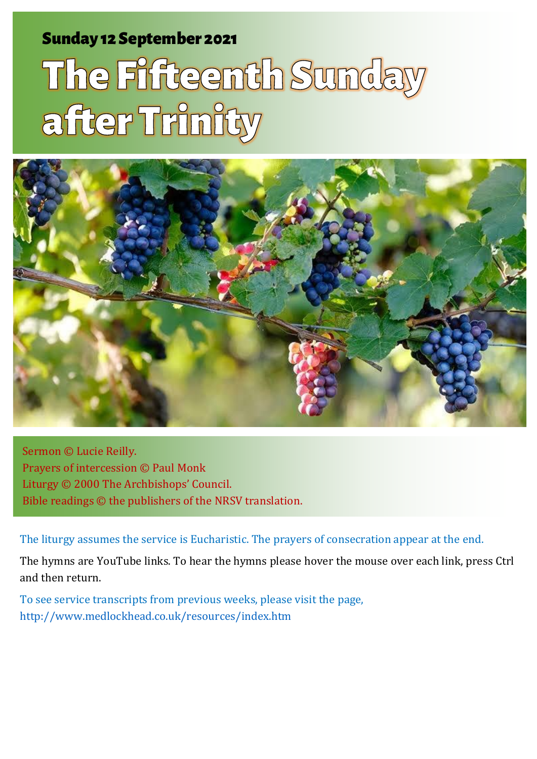# Sunday 12 September 2021 1 The Fifteenth Sunday after Trinity and Sunday after Trinity and Sunday after Trinity

# The Fifteenth Sunday after Trinity



Sermon © Lucie Reilly. Prayers of intercession © Paul Monk Liturgy © 2000 The Archbishops' Council. Bible readings © the publishers of the NRSV translation.

The liturgy assumes the service is Eucharistic. The prayers of consecration appear at the end.

The hymns are YouTube links. To hear the hymns please hover the mouse over each link, press Ctrl and then return.

To see service transcripts from previous weeks, please visit the page, <http://www.medlockhead.co.uk/resources/index.htm>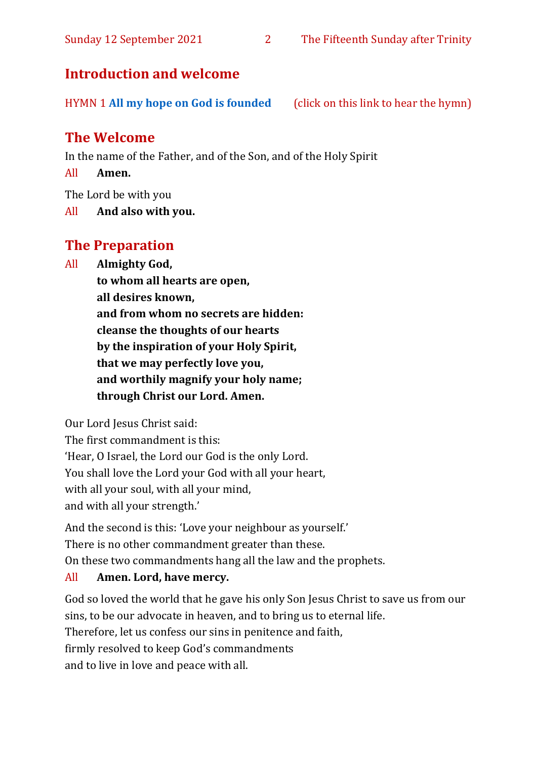#### **Introduction and welcome**

HYMN 1 **[All my hope on God is founded](https://www.youtube.com/watch?v=W3LCGh02Vew)** (click on this link to hear the hymn)

# **The Welcome**

In the name of the Father, and of the Son, and of the Holy Spirit

All **Amen.**

The Lord be with you

All **And also with you.**

# **The Preparation**

All **Almighty God,**

**to whom all hearts are open, all desires known, and from whom no secrets are hidden: cleanse the thoughts of our hearts by the inspiration of your Holy Spirit, that we may perfectly love you, and worthily magnify your holy name; through Christ our Lord. Amen.**

Our Lord Jesus Christ said:

The first commandment is this: 'Hear, O Israel, the Lord our God is the only Lord. You shall love the Lord your God with all your heart, with all your soul, with all your mind, and with all your strength.'

And the second is this: 'Love your neighbour as yourself.' There is no other commandment greater than these. On these two commandments hang all the law and the prophets.

#### All **Amen. Lord, have mercy.**

God so loved the world that he gave his only Son Jesus Christ to save us from our sins, to be our advocate in heaven, and to bring us to eternal life. Therefore, let us confess our sins in penitence and faith, firmly resolved to keep God's commandments and to live in love and peace with all.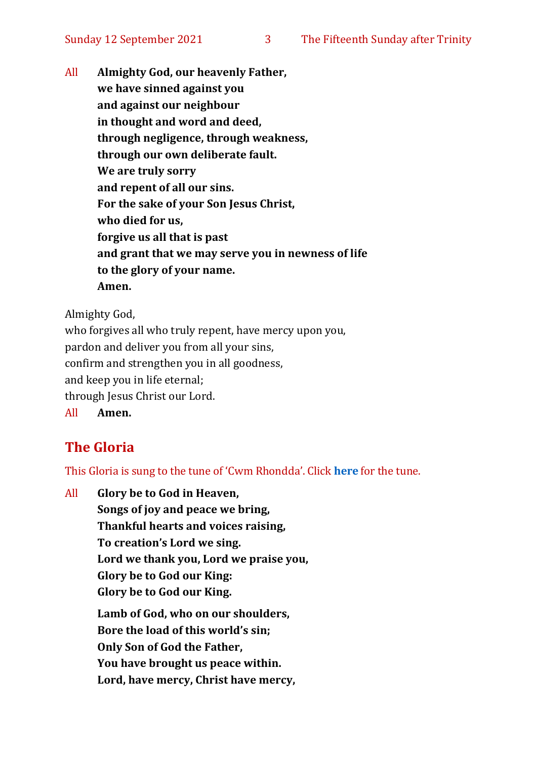All **Almighty God, our heavenly Father, we have sinned against you and against our neighbour in thought and word and deed, through negligence, through weakness, through our own deliberate fault. We are truly sorry and repent of all our sins. For the sake of your Son Jesus Christ, who died for us, forgive us all that is past and grant that we may serve you in newness of life to the glory of your name. Amen.**

Almighty God,

who forgives all who truly repent, have mercy upon you, pardon and deliver you from all your sins, confirm and strengthen you in all goodness, and keep you in life eternal; through Jesus Christ our Lord. All **Amen.**

# **The Gloria**

This Gloria is sung to the tune of 'Cwm Rhondda'. Click **[here](about:blank)** for the tune.

All **Glory be to God in Heaven, Songs of joy and peace we bring, Thankful hearts and voices raising, To creation's Lord we sing. Lord we thank you, Lord we praise you, Glory be to God our King: Glory be to God our King. Lamb of God, who on our shoulders, Bore the load of this world's sin; Only Son of God the Father,**

**You have brought us peace within. Lord, have mercy, Christ have mercy,**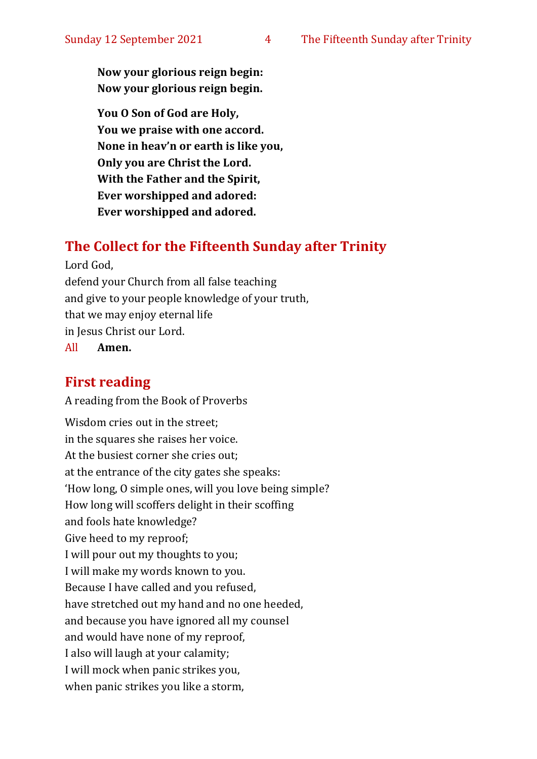**Now your glorious reign begin: Now your glorious reign begin.**

**You O Son of God are Holy, You we praise with one accord. None in heav'n or earth is like you, Only you are Christ the Lord. With the Father and the Spirit, Ever worshipped and adored: Ever worshipped and adored.**

#### **The Collect for the Fifteenth Sunday after Trinity**

Lord God, defend your Church from all false teaching and give to your people knowledge of your truth, that we may enjoy eternal life in Jesus Christ our Lord. All **Amen.**

#### **First reading**

A reading from the Book of Proverbs Wisdom cries out in the street; in the squares she raises her voice. At the busiest corner she cries out; at the entrance of the city gates she speaks: 'How long, O simple ones, will you love being simple? How long will scoffers delight in their scoffing and fools hate knowledge? Give heed to my reproof; I will pour out my thoughts to you; I will make my words known to you. Because I have called and you refused, have stretched out my hand and no one heeded, and because you have ignored all my counsel and would have none of my reproof, I also will laugh at your calamity; I will mock when panic strikes you, when panic strikes you like a storm,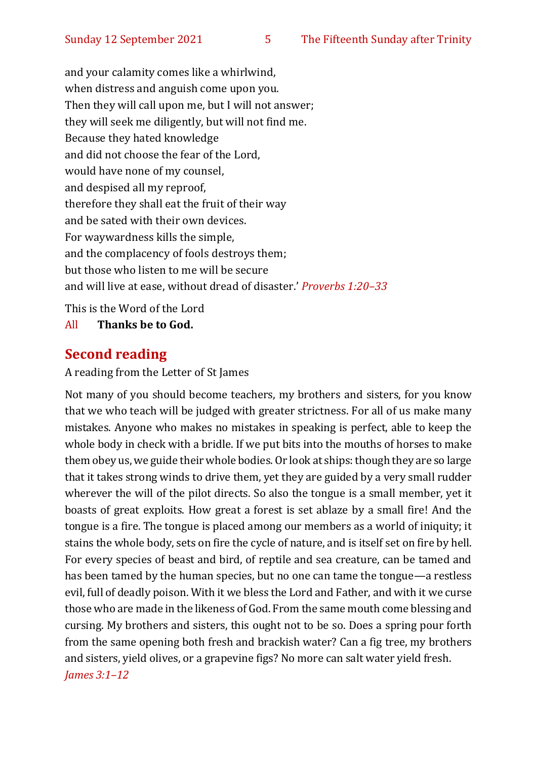and your calamity comes like a whirlwind, when distress and anguish come upon you. Then they will call upon me, but I will not answer; they will seek me diligently, but will not find me. Because they hated knowledge and did not choose the fear of the Lord, would have none of my counsel, and despised all my reproof, therefore they shall eat the fruit of their way and be sated with their own devices. For waywardness kills the simple, and the complacency of fools destroys them; but those who listen to me will be secure and will live at ease, without dread of disaster.' *Proverbs 1:20–33*

This is the Word of the Lord

All **Thanks be to God.**

# **Second reading**

#### A reading from the Letter of St James

Not many of you should become teachers, my brothers and sisters, for you know that we who teach will be judged with greater strictness. For all of us make many mistakes. Anyone who makes no mistakes in speaking is perfect, able to keep the whole body in check with a bridle. If we put bits into the mouths of horses to make them obey us, we guide their whole bodies. Or look at ships: though they are so large that it takes strong winds to drive them, yet they are guided by a very small rudder wherever the will of the pilot directs. So also the tongue is a small member, yet it boasts of great exploits. How great a forest is set ablaze by a small fire! And the tongue is a fire. The tongue is placed among our members as a world of iniquity; it stains the whole body, sets on fire the cycle of nature, and is itself set on fire by hell. For every species of beast and bird, of reptile and sea creature, can be tamed and has been tamed by the human species, but no one can tame the tongue—a restless evil, full of deadly poison. With it we bless the Lord and Father, and with it we curse those who are made in the likeness of God. From the same mouth come blessing and cursing. My brothers and sisters, this ought not to be so. Does a spring pour forth from the same opening both fresh and brackish water? Can a fig tree, my brothers and sisters, yield olives, or a grapevine figs? No more can salt water yield fresh. *James 3:1–12*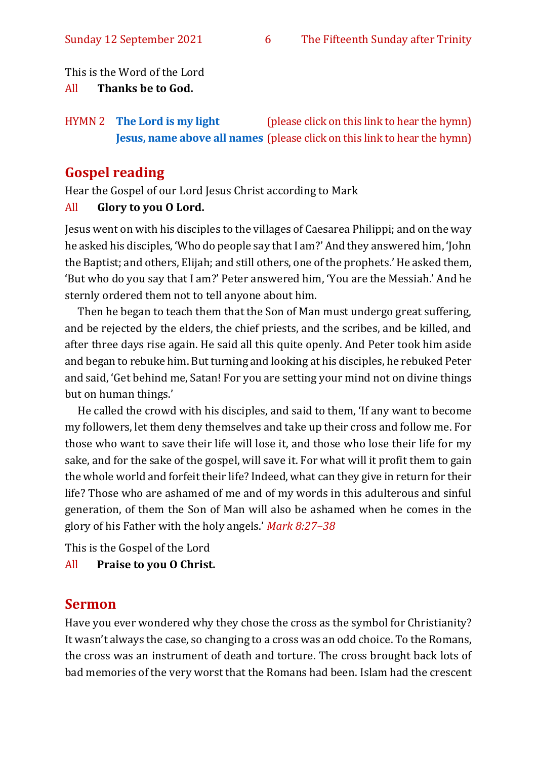This is the Word of the Lord

All **Thanks be to God.**

HYMN 2 **[The Lord is my light](https://www.youtube.com/watch?v=r64gcGMNhDE)** (please click on this link to hear the hymn) **[Jesus, name above all names](https://www.youtube.com/watch?v=JEBAHFFJdW8)** (please click on this link to hear the hymn)

# **Gospel reading**

Hear the Gospel of our Lord Jesus Christ according to Mark

#### All **Glory to you O Lord.**

Jesus went on with his disciples to the villages of Caesarea Philippi; and on the way he asked his disciples, 'Who do people say that I am?' And they answered him, 'John the Baptist; and others, Elijah; and still others, one of the prophets.' He asked them, 'But who do you say that I am?' Peter answered him, 'You are the Messiah.' And he sternly ordered them not to tell anyone about him.

Then he began to teach them that the Son of Man must undergo great suffering, and be rejected by the elders, the chief priests, and the scribes, and be killed, and after three days rise again. He said all this quite openly. And Peter took him aside and began to rebuke him. But turning and looking at his disciples, he rebuked Peter and said, 'Get behind me, Satan! For you are setting your mind not on divine things but on human things.'

He called the crowd with his disciples, and said to them, 'If any want to become my followers, let them deny themselves and take up their cross and follow me. For those who want to save their life will lose it, and those who lose their life for my sake, and for the sake of the gospel, will save it. For what will it profit them to gain the whole world and forfeit their life? Indeed, what can they give in return for their life? Those who are ashamed of me and of my words in this adulterous and sinful generation, of them the Son of Man will also be ashamed when he comes in the glory of his Father with the holy angels.' *Mark 8:27–38*

This is the Gospel of the Lord

#### All **Praise to you O Christ.**

#### **Sermon**

Have you ever wondered why they chose the cross as the symbol for Christianity? It wasn't always the case, so changing to a cross was an odd choice. To the Romans, the cross was an instrument of death and torture. The cross brought back lots of bad memories of the very worst that the Romans had been. Islam had the crescent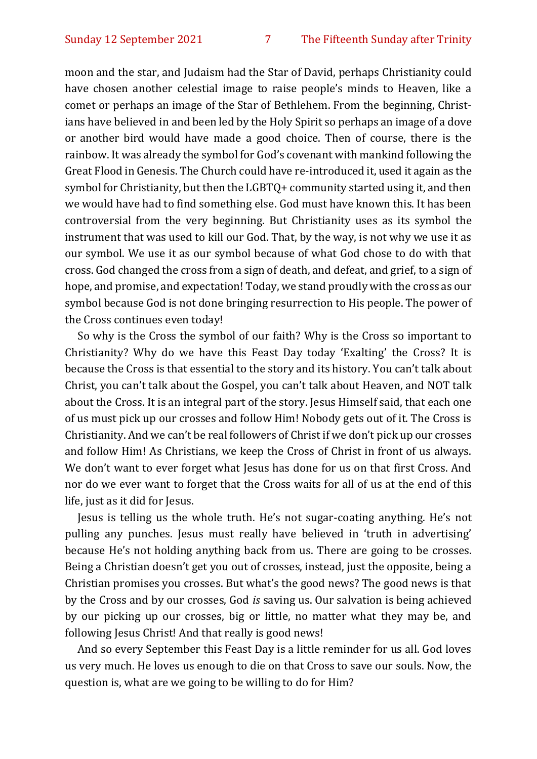moon and the star, and Judaism had the Star of David, perhaps Christianity could have chosen another celestial image to raise people's minds to Heaven, like a comet or perhaps an image of the Star of Bethlehem. From the beginning, Christians have believed in and been led by the Holy Spirit so perhaps an image of a dove or another bird would have made a good choice. Then of course, there is the rainbow. It was already the symbol for God's covenant with mankind following the Great Flood in Genesis. The Church could have re-introduced it, used it again as the symbol for Christianity, but then the LGBTQ+ community started using it, and then we would have had to find something else. God must have known this. It has been controversial from the very beginning. But Christianity uses as its symbol the instrument that was used to kill our God. That, by the way, is not why we use it as our symbol. We use it as our symbol because of what God chose to do with that cross. God changed the cross from a sign of death, and defeat, and grief, to a sign of hope, and promise, and expectation! Today, we stand proudly with the cross as our symbol because God is not done bringing resurrection to His people. The power of the Cross continues even today!

So why is the Cross the symbol of our faith? Why is the Cross so important to Christianity? Why do we have this Feast Day today 'Exalting' the Cross? It is because the Cross is that essential to the story and its history. You can't talk about Christ, you can't talk about the Gospel, you can't talk about Heaven, and NOT talk about the Cross. It is an integral part of the story. Jesus Himself said, that each one of us must pick up our crosses and follow Him! Nobody gets out of it. The Cross is Christianity. And we can't be real followers of Christ if we don't pick up our crosses and follow Him! As Christians, we keep the Cross of Christ in front of us always. We don't want to ever forget what Jesus has done for us on that first Cross. And nor do we ever want to forget that the Cross waits for all of us at the end of this life, just as it did for Jesus.

Jesus is telling us the whole truth. He's not sugar-coating anything. He's not pulling any punches. Jesus must really have believed in 'truth in advertising' because He's not holding anything back from us. There are going to be crosses. Being a Christian doesn't get you out of crosses, instead, just the opposite, being a Christian promises you crosses. But what's the good news? The good news is that by the Cross and by our crosses, God *is* saving us. Our salvation is being achieved by our picking up our crosses, big or little, no matter what they may be, and following Jesus Christ! And that really is good news!

And so every September this Feast Day is a little reminder for us all. God loves us very much. He loves us enough to die on that Cross to save our souls. Now, the question is, what are we going to be willing to do for Him?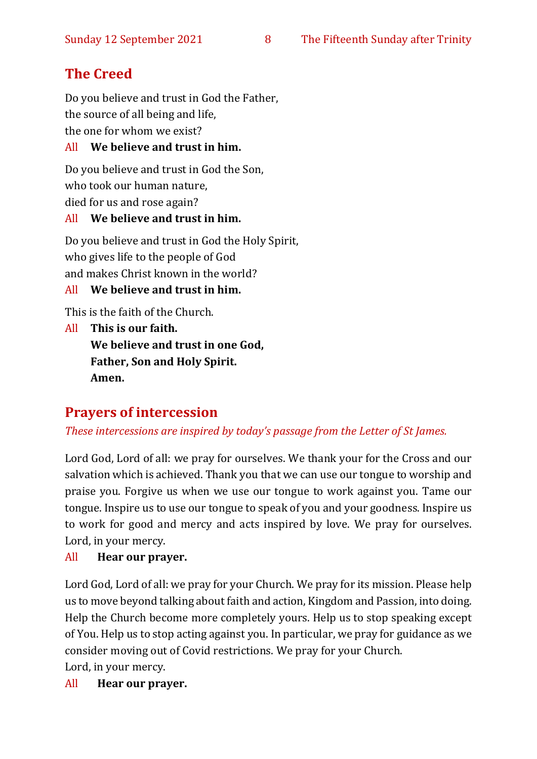# **The Creed**

Do you believe and trust in God the Father, the source of all being and life, the one for whom we exist?

# All **We believe and trust in him.**

Do you believe and trust in God the Son, who took our human nature, died for us and rose again?

# All **We believe and trust in him.**

Do you believe and trust in God the Holy Spirit, who gives life to the people of God and makes Christ known in the world?

#### All **We believe and trust in him.**

This is the faith of the Church.

All **This is our faith. We believe and trust in one God, Father, Son and Holy Spirit. Amen.**

# **Prayers of intercession**

*These intercessions are inspired by today's passage from the Letter of St James.* 

Lord God, Lord of all: we pray for ourselves. We thank your for the Cross and our salvation which is achieved. Thank you that we can use our tongue to worship and praise you. Forgive us when we use our tongue to work against you. Tame our tongue. Inspire us to use our tongue to speak of you and your goodness. Inspire us to work for good and mercy and acts inspired by love. We pray for ourselves. Lord, in your mercy.

# All **Hear our prayer.**

Lord God, Lord of all: we pray for your Church. We pray for its mission. Please help us to move beyond talking about faith and action, Kingdom and Passion, into doing. Help the Church become more completely yours. Help us to stop speaking except of You. Help us to stop acting against you. In particular, we pray for guidance as we consider moving out of Covid restrictions. We pray for your Church. Lord, in your mercy.

# All **Hear our prayer.**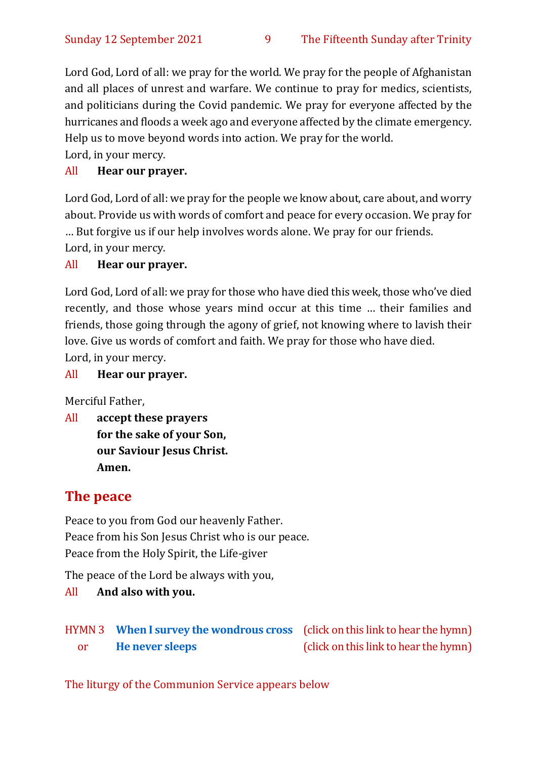Lord God, Lord of all: we pray for the world. We pray for the people of Afghanistan and all places of unrest and warfare. We continue to pray for medics, scientists, and politicians during the Covid pandemic. We pray for everyone affected by the hurricanes and floods a week ago and everyone affected by the climate emergency. Help us to move beyond words into action. We pray for the world.

Lord, in your mercy.

#### All **Hear our prayer.**

Lord God, Lord of all: we pray for the people we know about, care about, and worry about. Provide us with words of comfort and peace for every occasion. We pray for … But forgive us if our help involves words alone. We pray for our friends. Lord, in your mercy.

#### All **Hear our prayer.**

Lord God, Lord of all: we pray for those who have died this week, those who've died recently, and those whose years mind occur at this time … their families and friends, those going through the agony of grief, not knowing where to lavish their love. Give us words of comfort and faith. We pray for those who have died. Lord, in your mercy.

#### All **Hear our prayer.**

Merciful Father,

All **accept these prayers for the sake of your Son, our Saviour Jesus Christ. Amen.**

# **The peace**

Peace to you from God our heavenly Father. Peace from his Son Jesus Christ who is our peace. Peace from the Holy Spirit, the Life-giver

The peace of the Lord be always with you,

All **And also with you.**

|     | HYMN 3 When I survey the wondrous cross (click on this link to hear the hymn) |                                       |
|-----|-------------------------------------------------------------------------------|---------------------------------------|
| or. | <b>He never sleeps</b>                                                        | (click on this link to hear the hymn) |

The liturgy of the Communion Service appears below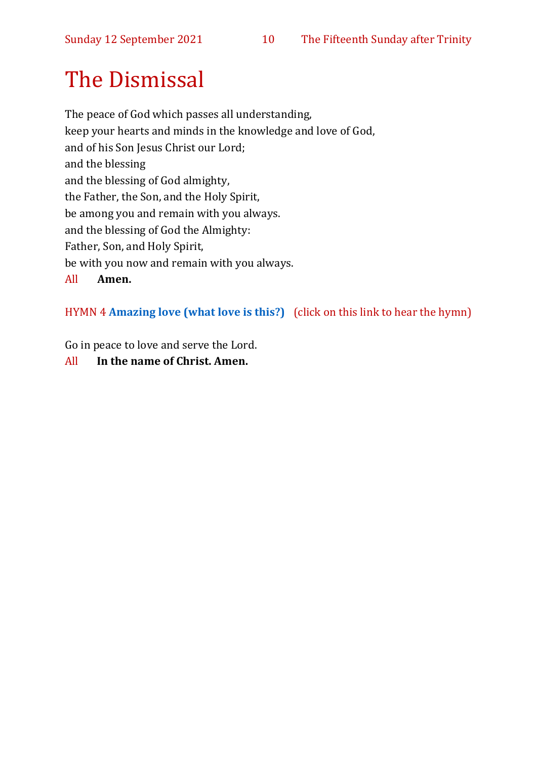# The Dismissal

The peace of God which passes all understanding, keep your hearts and minds in the knowledge and love of God, and of his Son Jesus Christ our Lord; and the blessing and the blessing of God almighty, the Father, the Son, and the Holy Spirit, be among you and remain with you always. and the blessing of God the Almighty: Father, Son, and Holy Spirit, be with you now and remain with you always. All **Amen.**

#### HYMN 4 **[Amazing love \(what love is this?\)](https://www.youtube.com/watch?v=ItR0E1lg7lY)** (click on this link to hear the hymn)

Go in peace to love and serve the Lord.

#### All **In the name of Christ. Amen.**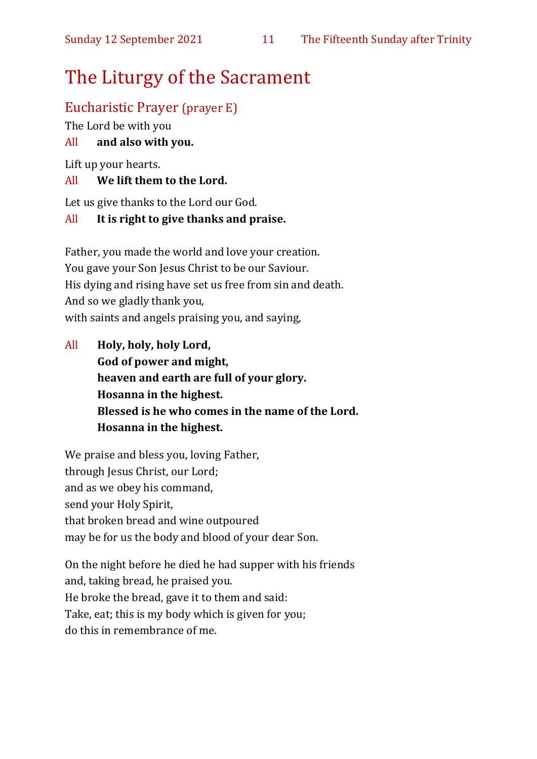# The Liturgy of the Sacrament

### Eucharistic Prayer (prayer E)

The Lord be with you

#### All **and also with you.**

Lift up your hearts.

#### All **We lift them to the Lord.**

Let us give thanks to the Lord our God.

#### All **It is right to give thanks and praise.**

Father, you made the world and love your creation. You gave your Son Jesus Christ to be our Saviour. His dying and rising have set us free from sin and death. And so we gladly thank you, with saints and angels praising you, and saying,

All **Holy, holy, holy Lord, God of power and might, heaven and earth are full of your glory. Hosanna in the highest. Blessed is he who comes in the name of the Lord. Hosanna in the highest.**

We praise and bless you, loving Father, through Jesus Christ, our Lord; and as we obey his command, send your Holy Spirit, that broken bread and wine outpoured may be for us the body and blood of your dear Son.

On the night before he died he had supper with his friends and, taking bread, he praised you. He broke the bread, gave it to them and said: Take, eat; this is my body which is given for you; do this in remembrance of me.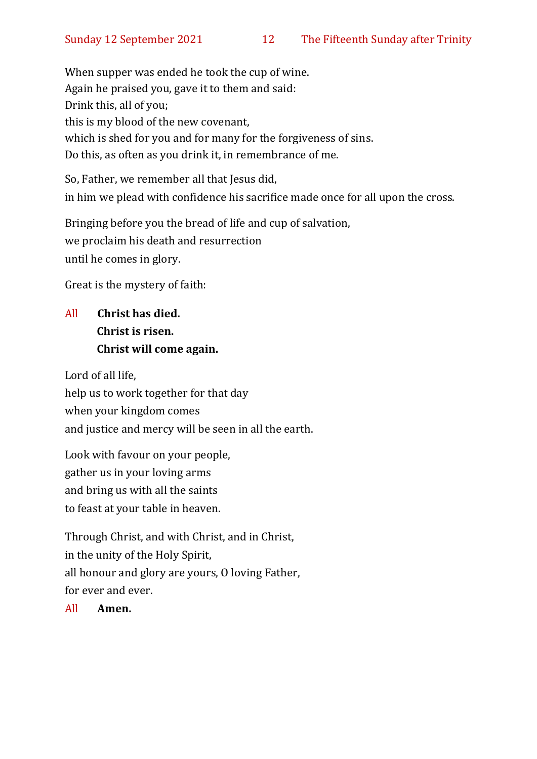When supper was ended he took the cup of wine. Again he praised you, gave it to them and said: Drink this, all of you; this is my blood of the new covenant, which is shed for you and for many for the forgiveness of sins. Do this, as often as you drink it, in remembrance of me.

So, Father, we remember all that Jesus did, in him we plead with confidence his sacrifice made once for all upon the cross.

Bringing before you the bread of life and cup of salvation, we proclaim his death and resurrection until he comes in glory.

Great is the mystery of faith:

# All **Christ has died. Christ is risen. Christ will come again.**

Lord of all life, help us to work together for that day when your kingdom comes and justice and mercy will be seen in all the earth.

Look with favour on your people, gather us in your loving arms and bring us with all the saints to feast at your table in heaven.

Through Christ, and with Christ, and in Christ, in the unity of the Holy Spirit, all honour and glory are yours, O loving Father, for ever and ever.

All **Amen.**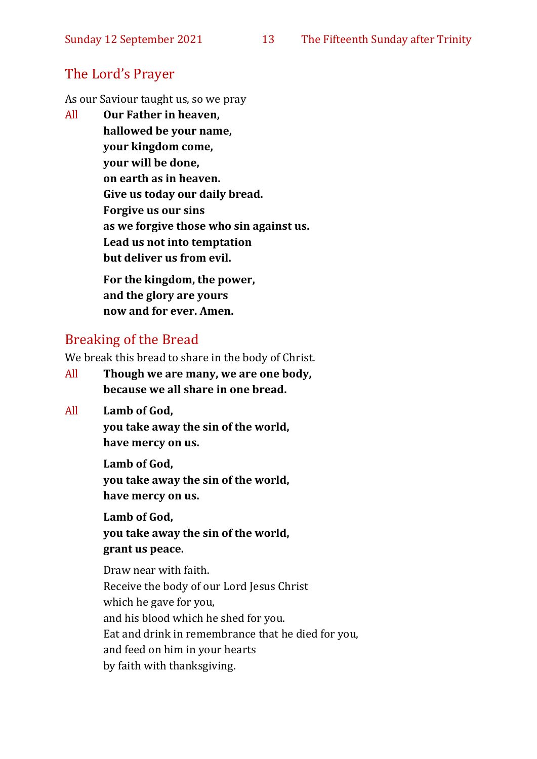# The Lord's Prayer

As our Saviour taught us, so we pray

All **Our Father in heaven, hallowed be your name, your kingdom come, your will be done, on earth as in heaven. Give us today our daily bread. Forgive us our sins as we forgive those who sin against us. Lead us not into temptation but deliver us from evil. For the kingdom, the power,** 

**and the glory are yours now and for ever. Amen.**

# Breaking of the Bread

We break this bread to share in the body of Christ.

- All **Though we are many, we are one body, because we all share in one bread.**
- All **Lamb of God,**

**you take away the sin of the world, have mercy on us.**

**Lamb of God, you take away the sin of the world, have mercy on us.**

**Lamb of God, you take away the sin of the world, grant us peace.**

Draw near with faith. Receive the body of our Lord Jesus Christ which he gave for you, and his blood which he shed for you. Eat and drink in remembrance that he died for you, and feed on him in your hearts by faith with thanksgiving.